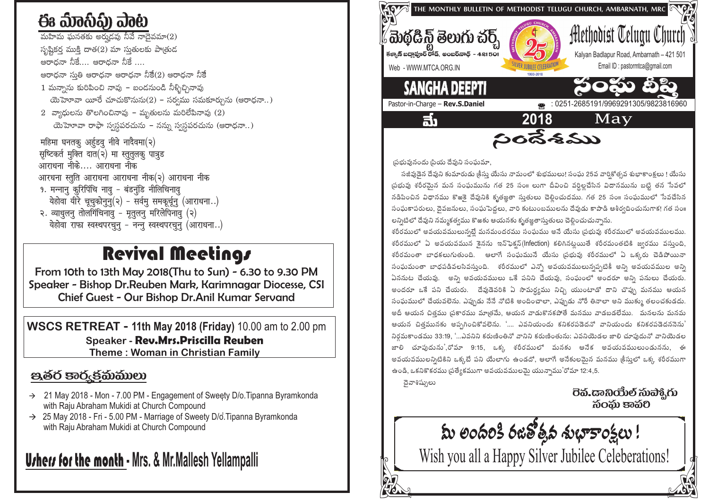# ఈ మేంసీపు ఎంట

మహిమ ఘనతకు అరుదవు నీవే నాదైవమా $(2)$ సృష్టికర్త ముక్తి దాత(2) మా సుతులకు పాత్రుడ అరాదనా నీకే.... ఆరాదనా నీకే .... ఆరాధనా సుతి ఆరాధనా ఆరాధనా నీకే(2) ఆరాధనా నీకే  $1$  మన్నాను కురిపించి నావు – బండనుండి నీళ్ళిచ్చినావు యెహెూవా యీరే చూచుకొనును $(2)$  – సర్వము సమకూర్చును (ఆరాధనా..)  $2$  వ్యాధులను తొలగించినావు – మృతులను మరిలేపినావు (2) యెహెూవా రాఫా స్వస్ధపరచును – నన్ను స్వస్ధపరచును (ఆరాధనా..) महिमा घनतकू अर्हूडवू नीवे नादैवमा(२) सष्टिकर्त मूक्ति दात(२) मा स्तुतुलकु पात्रुड आराधना नीके.... आराधना नीक आरधना स्तुति आराधना आराधना नीक(२) आराधना नीक 9. मन्नानु कुरिपिंचि नावु - बंडनुंडि नीलिचिनावु येहोवा यीरे चूचुकोनून्(२) - सर्वम् समकूर्चून् (आराधना..) २. व्याधुलनु तोलगिंचिनावु - मृतुलनु मरिलेपिनावु (२)

येहोवा राफा स्वस्थपरचून् - नन्न् स्वस्थपरचून् (आराधना..)

### **Revival Meetings**

From 10th to 13th May 2018(Thu to Sun) - 6.30 to 9.30 PM Speaker - Bishop Dr. Reuben Mark, Karimnagar Diocesse, CSI Chief Guest - Our Bishop Dr.Anil Kumar Servand

**WSCS RETREAT - 11th May 2018 (Friday) 10.00 am to 2.00 pm** Speaker - Rev.Mrs.Priscilla Reuben **Theme: Woman in Christian Family** 

### පුණිර් පැරුජිකිාකිාලා

- $\rightarrow$  21 May 2018 Mon 7.00 PM Engagement of Sweety D/o. Tipanna Byramkonda with Raju Abraham Mukidi at Church Compound
- $\rightarrow$  25 May 2018 Fri 5.00 PM Marriage of Sweety D/o. Tipanna Byramkonda with Raju Abraham Mukidi at Church Compound

## **Ushers for the month** - Mrs. & Mr.Mallesh Yellampalli



్రపభువునందు ్పియ దేవుని సంఘమా

సజీవుడెన దేవుని కుమారుడు క్రీసు యేసు నామంలో శుభములు! సంఘ 25వ వార్తికోత్సవ శుభాకాంక్షలు ! యేసు ్రపభువు శరీరమైన మన సంఘమును గత 25 సం<mark>॥ లుగా దీవించి వర్ధిల్లచేసిన విదానమును</mark> బట్టి తన సేవలో నడిపించిన విధానము కొఱకె దేవునికి కృతజ్ఞతా సుతులు చెలించుదము. గత 25 సం။ సంఘములో సేవచేసిన సంఘకాపరులు, దెవజనులు, సంఘపెద్దలు, వారి కుటుంబములను దేవుడు కాపాడి ఆశీర్వదించునుగాక! గత సం॥ లన్నిటిలో దేవుని నమ్మకత్వము కొఱకు ఆయనకు కృతజ్ఞతాస్తుతులు చెల్లించుచున్నాను.

శరీరములో అవయవములున్నట్టే మనమందరము సంఘము అనే యేసు ¡పభువు శరీరములో అవయవములము. శరీరములో ఏ అవయవమున కైనను ఇన్ఫెక్షన్(Infection) కలిగినట్లయితే శరీరమంతటికి జ్వరము వస్తుంది, శరీరమంతా బాధకలుగుతుంది. అలాగే సంఘమునే యేసు (పభువు శరీరములో ఏ ఒక్కరు చెడిపోయినా సంఘమంతా బాధపడివలసివస్తుంది. శరీరములో ఎన్నో అవయవములున్నప్పటికీ అన్ని అవయవముల అన్ని ఏననుట చేయవు. అన్ని అవయవములు ఒకే పనిని చేయవు, సంఘంలో అందరూ అన్ని పనులు చేయరు. అందరూ ఒకే పని చేయరు. దేవుడెవరికి ఏ సామర్ధ్యము నిచ్చి యుంటాడో దాని చొప్పు మనము ఆయన సంఘములో చేయవలెను. ఎప్పుడు నేనే నోటికి అందించాలా, ఎప్పుడు నోరే తినాలా అని ముక్కు తలంచకుడదు. అదీ ఆయన చిత్తము (పకారము మాత్రమే, ఆయన వాడుకొనకపోతే మనము వాడబడలేము. మనలను మనమ ఆయన చిత్తమునకు అప్పగించికోవలెను. '.... ఎవనియందు కనికరపడెదనో వానియందు కనికరపడెదననెను' నిరమకాండము 33:19, '...ఎవనిని కరుణింతినో వానిని కరుణింతును; ఎవనియెడల జాలి చూపుదునో వానియెడల జాలి చూపుదును',రోమా 9:15, ఒక్క శరీరములో మనకు ఆనేక అవయవములుండునను, ఈ అవయవములన్నిటికిని ఒక్కటే పని యేలాగు ఉండదో, ఆలాగే అనేకులమైన మనము <sub>l</sub>కీసులో ఒక్క శరీరముగా ఉండి, ఒకనికొకరము (పత్యేకముగా అవయవములమై యున్నాము'రోమా 12:4,5.

దైవాశిష్పులు

సంచు కావరి

మీ లందరికి రజతోత్తవ శుభాకాంక్షలు !

Wish you all a Happy Silver Jubilee Celeberations!